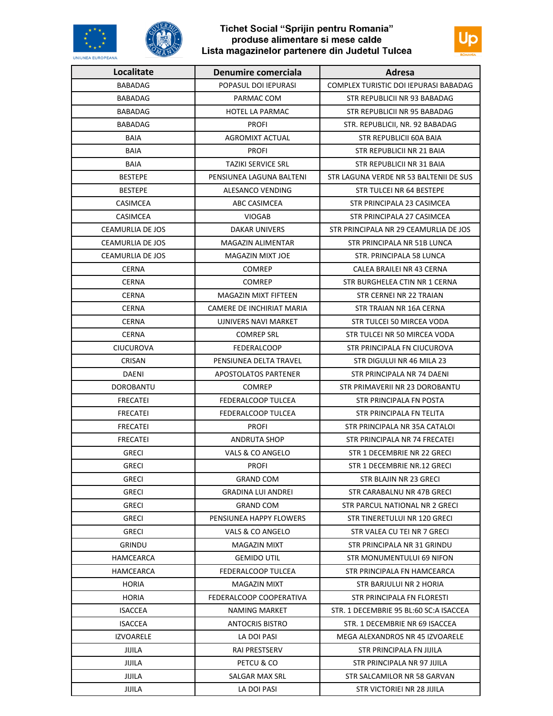## Tichet Social "Sprijin pentru Romania" produse alimentare si mese calde Lista magazinelor partenere din Judetul Tulcea





JIJILA

| Localitate              | Denumire comerciala         | Adresa                                 |
|-------------------------|-----------------------------|----------------------------------------|
| <b>BABADAG</b>          | POPASUL DOI IEPURASI        | COMPLEX TURISTIC DOI IEPURASI BABADAG  |
| <b>BABADAG</b>          | PARMAC COM                  | STR REPUBLICII NR 93 BABADAG           |
| <b>BABADAG</b>          | <b>HOTEL LA PARMAC</b>      | STR REPUBLICII NR 95 BABADAG           |
| <b>BABADAG</b>          | <b>PROFI</b>                | STR. REPUBLICII, NR. 92 BABADAG        |
| <b>BAIA</b>             | AGROMIXT ACTUAL             | STR REPUBLICII 60A BAIA                |
| <b>BAIA</b>             | <b>PROFI</b>                | STR REPUBLICII NR 21 BAIA              |
| BAIA                    | <b>TAZIKI SERVICE SRL</b>   | STR REPUBLICII NR 31 BAIA              |
| <b>BESTEPE</b>          | PENSIUNEA LAGUNA BALTENI    | STR LAGUNA VERDE NR 53 BALTENII DE SUS |
| <b>BESTEPE</b>          | ALESANCO VENDING            | STR TULCEI NR 64 BESTEPE               |
| <b>CASIMCEA</b>         | ABC CASIMCEA                | STR PRINCIPALA 23 CASIMCEA             |
| <b>CASIMCEA</b>         | <b>VIOGAB</b>               | STR PRINCIPALA 27 CASIMCEA             |
| CEAMURLIA DE JOS        | DAKAR UNIVERS               | STR PRINCIPALA NR 29 CEAMURLIA DE JOS  |
| <b>CEAMURLIA DE JOS</b> | MAGAZIN ALIMENTAR           | STR PRINCIPALA NR 51B LUNCA            |
| <b>CEAMURLIA DE JOS</b> | <b>MAGAZIN MIXT JOE</b>     | STR. PRINCIPALA 58 LUNCA               |
| <b>CERNA</b>            | <b>COMREP</b>               | CALEA BRAILEI NR 43 CERNA              |
| <b>CERNA</b>            | <b>COMREP</b>               | STR BURGHELEA CTIN NR 1 CERNA          |
| <b>CERNA</b>            | MAGAZIN MIXT FIFTEEN        | STR CERNEI NR 22 TRAIAN                |
| <b>CERNA</b>            | CAMERE DE INCHIRIAT MARIA   | STR TRAIAN NR 16A CERNA                |
| <b>CERNA</b>            | UJNIVERS NAVI MARKET        | STR TULCEI 50 MIRCEA VODA              |
| <b>CERNA</b>            | <b>COMREP SRL</b>           | STR TULCEI NR 50 MIRCEA VODA           |
| <b>CIUCUROVA</b>        | FEDERALCOOP                 | STR PRINCIPALA FN CIUCUROVA            |
| CRISAN                  | PENSIUNEA DELTA TRAVEL      | STR DIGULUI NR 46 MILA 23              |
| <b>DAENI</b>            | <b>APOSTOLATOS PARTENER</b> | STR PRINCIPALA NR 74 DAENI             |
| <b>DOROBANTU</b>        | <b>COMREP</b>               | STR PRIMAVERII NR 23 DOROBANTU         |
| <b>FRECATEI</b>         | <b>FEDERALCOOP TULCEA</b>   | STR PRINCIPALA FN POSTA                |
| <b>FRECATEI</b>         | FEDERALCOOP TULCEA          | STR PRINCIPALA FN TELITA               |
| <b>FRECATEI</b>         | <b>PROFI</b>                | STR PRINCIPALA NR 35A CATALOI          |
| <b>FRECATEI</b>         | <b>ANDRUTA SHOP</b>         | STR PRINCIPALA NR 74 FRECATEI          |
| <b>GRECI</b>            | VALS & CO ANGELO            | STR 1 DECEMBRIE NR 22 GRECI            |
| <b>GRECI</b>            | <b>PROFI</b>                | STR 1 DECEMBRIE NR.12 GRECI            |
| <b>GRECI</b>            | <b>GRAND COM</b>            | STR BLAJIN NR 23 GRECI                 |
| <b>GRECI</b>            | <b>GRADINA LUI ANDREI</b>   | STR CARABALNU NR 47B GRECI             |
| <b>GRECI</b>            | <b>GRAND COM</b>            | STR PARCUL NATIONAL NR 2 GRECI         |
| <b>GRECI</b>            | PENSIUNEA HAPPY FLOWERS     | STR TINERETULUI NR 120 GRECI           |
| <b>GRECI</b>            | VALS & CO ANGELO            | STR VALEA CU TEI NR 7 GRECI            |
| GRINDU                  | MAGAZIN MIXT                | STR PRINCIPALA NR 31 GRINDU            |
| HAMCEARCA               | <b>GEMIDO UTIL</b>          | STR MONUMENTULUI 69 NIFON              |
| HAMCEARCA               | FEDERALCOOP TULCEA          | STR PRINCIPALA FN HAMCEARCA            |
| <b>HORIA</b>            | <b>MAGAZIN MIXT</b>         | STR BARJULUI NR 2 HORIA                |
| <b>HORIA</b>            | FEDERALCOOP COOPERATIVA     | STR PRINCIPALA FN FLORESTI             |
| <b>ISACCEA</b>          | NAMING MARKET               | STR. 1 DECEMBRIE 95 BL:60 SC:A ISACCEA |
| <b>ISACCEA</b>          | <b>ANTOCRIS BISTRO</b>      | STR. 1 DECEMBRIE NR 69 ISACCEA         |
| <b>IZVOARELE</b>        | LA DOI PASI                 | MEGA ALEXANDROS NR 45 IZVOARELE        |
| JIJILA                  | <b>RAI PRESTSERV</b>        | STR PRINCIPALA FN JIJILA               |
| JIJILA                  | PETCU & CO                  | STR PRINCIPALA NR 97 JIJILA            |
| JIJILA                  | SALGAR MAX SRL              | STR SALCAMILOR NR 58 GARVAN            |

LA DOI PASI

STR VICTORIEI NR 28 JIJILA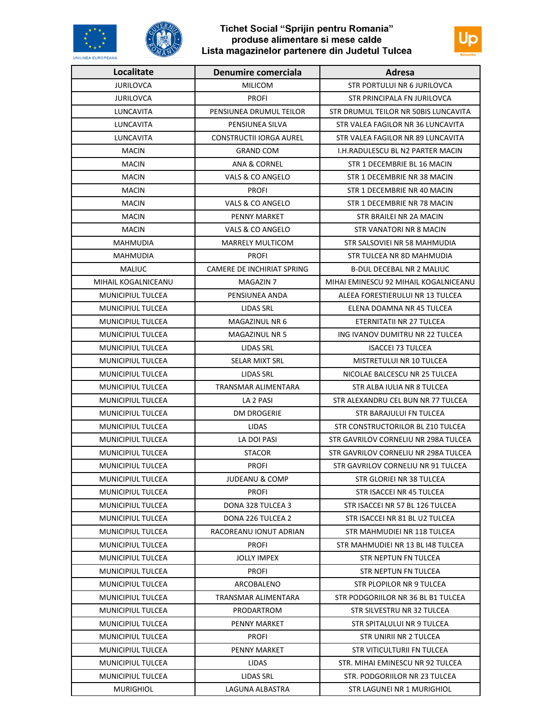



| <b>UNIUNEA EUROPEANA</b> |                            |                                       |  |
|--------------------------|----------------------------|---------------------------------------|--|
| Localitate               | Denumire comerciala        | <b>Adresa</b>                         |  |
| <b>JURILOVCA</b>         | <b>MILICOM</b>             | STR PORTULUI NR 6 JURILOVCA           |  |
| <b>JURILOVCA</b>         | <b>PROFI</b>               | STR PRINCIPALA FN JURILOVCA           |  |
| LUNCAVITA                | PENSIUNEA DRUMUL TEILOR    | STR DRUMUL TEILOR NR 50BIS LUNCAVITA  |  |
| LUNCAVITA                | PENSIUNEA SILVA            | STR VALEA FAGILOR NR 36 LUNCAVITA     |  |
| LUNCAVITA                | CONSTRUCTII IORGA AUREL    | STR VALEA FAGILOR NR 89 LUNCAVITA     |  |
| <b>MACIN</b>             | <b>GRAND COM</b>           | I.H.RADULESCU BL N2 PARTER MACIN      |  |
| <b>MACIN</b>             | ANA & CORNEL               | STR 1 DECEMBRIE BL 16 MACIN           |  |
| <b>MACIN</b>             | VALS & CO ANGELO           | STR 1 DECEMBRIE NR 38 MACIN           |  |
| <b>MACIN</b>             | <b>PROFI</b>               | STR 1 DECEMBRIE NR 40 MACIN           |  |
| <b>MACIN</b>             | VALS & CO ANGELO           | STR 1 DECEMBRIE NR 78 MACIN           |  |
| <b>MACIN</b>             | PENNY MARKET               | STR BRAILEI NR 2A MACIN               |  |
| <b>MACIN</b>             | VALS & CO ANGELO           | STR VANATORI NR 8 MACIN               |  |
| <b>MAHMUDIA</b>          | <b>MARRELY MULTICOM</b>    | STR SALSOVIEI NR 58 MAHMUDIA          |  |
| MAHMUDIA                 | <b>PROFI</b>               | STR TULCEA NR 8D MAHMUDIA             |  |
| <b>MALIUC</b>            | CAMERE DE INCHIRIAT SPRING | <b>B-DUL DECEBAL NR 2 MALIUC</b>      |  |
| MIHAIL KOGALNICEANU      | MAGAZIN 7                  | MIHAI EMINESCU 92 MIHAIL KOGALNICEANU |  |
| <b>MUNICIPIUL TULCEA</b> | PENSIUNEA ANDA             | ALEEA FORESTIERULUI NR 13 TULCEA      |  |
| <b>MUNICIPIUL TULCEA</b> | LIDAS SRL                  | ELENA DOAMNA NR 45 TULCEA             |  |
| MUNICIPIUL TULCEA        | MAGAZINUL NR 6             | ETERNITATII NR 27 TULCEA              |  |
| MUNICIPIUL TULCEA        | <b>MAGAZINUL NR 5</b>      | ING IVANOV DUMITRU NR 22 TULCEA       |  |
| MUNICIPIUL TULCEA        | LIDAS SRL                  | <b>ISACCEI 73 TULCEA</b>              |  |
| MUNICIPIUL TULCEA        | SELAR MIXT SRL             | MISTRETULUI NR 10 TULCEA              |  |
| MUNICIPIUL TULCEA        | LIDAS SRL                  | NICOLAE BALCESCU NR 25 TULCEA         |  |
| MUNICIPIUL TULCEA        | TRANSMAR ALIMENTARA        | STR ALBA IULIA NR 8 TULCEA            |  |
| MUNICIPIUL TULCEA        | LA 2 PASI                  | STR ALEXANDRU CEL BUN NR 77 TULCEA    |  |
| MUNICIPIUL TULCEA        | <b>DM DROGERIE</b>         | STR BARAJULUI FN TULCEA               |  |
| MUNICIPIUL TULCEA        | LIDAS                      | STR CONSTRUCTORILOR BL Z10 TULCEA     |  |
| MUNICIPIUL TULCEA        | LA DOI PASI                | STR GAVRILOV CORNELIU NR 298A TULCEA  |  |
| MUNICIPIUL TULCEA        | <b>STACOR</b>              | STR GAVRILOV CORNELIU NR 298A TULCEA  |  |
| <b>MUNICIPIUL TULCEA</b> | <b>PROFI</b>               | STR GAVRILOV CORNELIU NR 91 TULCEA    |  |
| <b>MUNICIPIUL TULCEA</b> | <b>JUDEANU &amp; COMP</b>  | STR GLORIEI NR 38 TULCEA              |  |
| <b>MUNICIPIUL TULCEA</b> | <b>PROFI</b>               | STR ISACCEI NR 45 TULCEA              |  |
| MUNICIPIUL TULCEA        | DONA 328 TULCEA 3          | STR ISACCEI NR 57 BL 126 TULCEA       |  |
| <b>MUNICIPIUL TULCEA</b> | DONA 226 TULCEA 2          | STR ISACCEI NR 81 BL U2 TULCEA        |  |
| MUNICIPIUL TULCEA        | RACOREANU IONUT ADRIAN     | STR MAHMUDIEI NR 118 TULCEA           |  |
| <b>MUNICIPIUL TULCEA</b> | <b>PROFI</b>               | STR MAHMUDIEI NR 13 BL 148 TULCEA     |  |
| MUNICIPIUL TULCEA        | <b>JOLLY IMPEX</b>         | STR NEPTUN FN TULCEA                  |  |
| <b>MUNICIPIUL TULCEA</b> | PROFI                      | STR NEPTUN FN TULCEA                  |  |
| <b>MUNICIPIUL TULCEA</b> | ARCOBALENO                 | STR PLOPILOR NR 9 TULCEA              |  |
| MUNICIPIUL TULCEA        | TRANSMAR ALIMENTARA        | STR PODGORIILOR NR 36 BL B1 TULCEA    |  |
| MUNICIPIUL TULCEA        | PRODARTROM                 | STR SILVESTRU NR 32 TULCEA            |  |
| MUNICIPIUL TULCEA        | PENNY MARKET               | STR SPITALULUI NR 9 TULCEA            |  |
| MUNICIPIUL TULCEA        | PROFI                      | STR UNIRII NR 2 TULCEA                |  |
| MUNICIPIUL TULCEA        | PENNY MARKET               | STR VITICULTURII FN TULCEA            |  |
| MUNICIPIUL TULCEA        | LIDAS                      | STR. MIHAI EMINESCU NR 92 TULCEA      |  |
| MUNICIPIUL TULCEA        | LIDAS SRL                  | STR. PODGORIILOR NR 23 TULCEA         |  |
| <b>MURIGHIOL</b>         | LAGUNA ALBASTRA            | STR LAGUNEI NR 1 MURIGHIOL            |  |